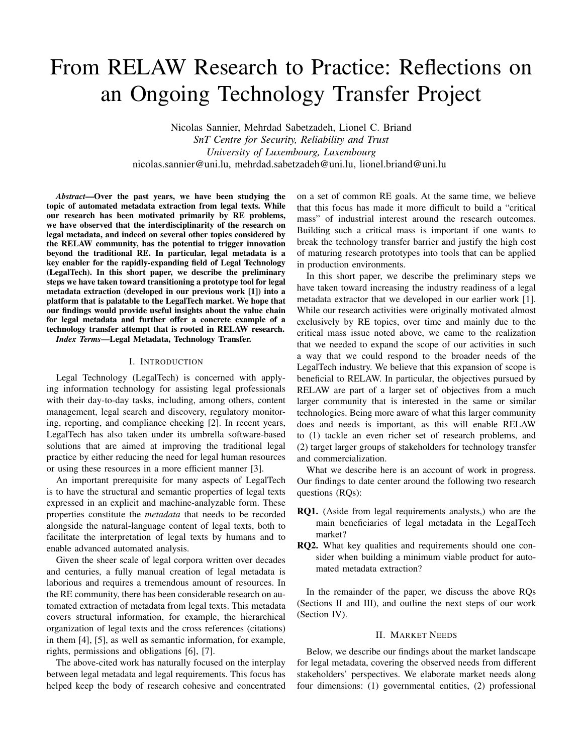# From RELAW Research to Practice: Reflections on an Ongoing Technology Transfer Project

Nicolas Sannier, Mehrdad Sabetzadeh, Lionel C. Briand *SnT Centre for Security, Reliability and Trust University of Luxembourg, Luxembourg* nicolas.sannier@uni.lu, mehrdad.sabetzadeh@uni.lu, lionel.briand@uni.lu

*Abstract*—Over the past years, we have been studying the topic of automated metadata extraction from legal texts. While our research has been motivated primarily by RE problems, we have observed that the interdisciplinarity of the research on legal metadata, and indeed on several other topics considered by the RELAW community, has the potential to trigger innovation beyond the traditional RE. In particular, legal metadata is a key enabler for the rapidly-expanding field of Legal Technology (LegalTech). In this short paper, we describe the preliminary steps we have taken toward transitioning a prototype tool for legal metadata extraction (developed in our previous work [1]) into a platform that is palatable to the LegalTech market. We hope that our findings would provide useful insights about the value chain for legal metadata and further offer a concrete example of a technology transfer attempt that is rooted in RELAW research.

*Index Terms*—Legal Metadata, Technology Transfer.

### I. INTRODUCTION

Legal Technology (LegalTech) is concerned with applying information technology for assisting legal professionals with their day-to-day tasks, including, among others, content management, legal search and discovery, regulatory monitoring, reporting, and compliance checking [2]. In recent years, LegalTech has also taken under its umbrella software-based solutions that are aimed at improving the traditional legal practice by either reducing the need for legal human resources or using these resources in a more efficient manner [3].

An important prerequisite for many aspects of LegalTech is to have the structural and semantic properties of legal texts expressed in an explicit and machine-analyzable form. These properties constitute the *metadata* that needs to be recorded alongside the natural-language content of legal texts, both to facilitate the interpretation of legal texts by humans and to enable advanced automated analysis.

Given the sheer scale of legal corpora written over decades and centuries, a fully manual creation of legal metadata is laborious and requires a tremendous amount of resources. In the RE community, there has been considerable research on automated extraction of metadata from legal texts. This metadata covers structural information, for example, the hierarchical organization of legal texts and the cross references (citations) in them [4], [5], as well as semantic information, for example, rights, permissions and obligations [6], [7].

The above-cited work has naturally focused on the interplay between legal metadata and legal requirements. This focus has helped keep the body of research cohesive and concentrated on a set of common RE goals. At the same time, we believe that this focus has made it more difficult to build a "critical mass" of industrial interest around the research outcomes. Building such a critical mass is important if one wants to break the technology transfer barrier and justify the high cost of maturing research prototypes into tools that can be applied in production environments.

In this short paper, we describe the preliminary steps we have taken toward increasing the industry readiness of a legal metadata extractor that we developed in our earlier work [1]. While our research activities were originally motivated almost exclusively by RE topics, over time and mainly due to the critical mass issue noted above, we came to the realization that we needed to expand the scope of our activities in such a way that we could respond to the broader needs of the LegalTech industry. We believe that this expansion of scope is beneficial to RELAW. In particular, the objectives pursued by RELAW are part of a larger set of objectives from a much larger community that is interested in the same or similar technologies. Being more aware of what this larger community does and needs is important, as this will enable RELAW to (1) tackle an even richer set of research problems, and (2) target larger groups of stakeholders for technology transfer and commercialization.

What we describe here is an account of work in progress. Our findings to date center around the following two research questions (RQs):

- RQ1. (Aside from legal requirements analysts,) who are the main beneficiaries of legal metadata in the LegalTech market?
- RQ2. What key qualities and requirements should one consider when building a minimum viable product for automated metadata extraction?

In the remainder of the paper, we discuss the above RQs (Sections II and III), and outline the next steps of our work (Section IV).

#### II. MARKET NEEDS

Below, we describe our findings about the market landscape for legal metadata, covering the observed needs from different stakeholders' perspectives. We elaborate market needs along four dimensions: (1) governmental entities, (2) professional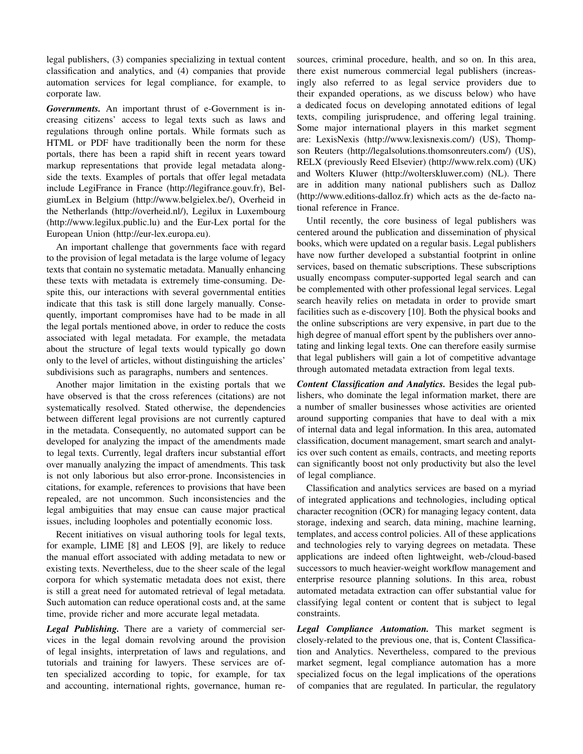legal publishers, (3) companies specializing in textual content classification and analytics, and (4) companies that provide automation services for legal compliance, for example, to corporate law.

*Governments.* An important thrust of e-Government is increasing citizens' access to legal texts such as laws and regulations through online portals. While formats such as HTML or PDF have traditionally been the norm for these portals, there has been a rapid shift in recent years toward markup representations that provide legal metadata alongside the texts. Examples of portals that offer legal metadata include LegiFrance in France (http://legifrance.gouv.fr), BelgiumLex in Belgium (http://www.belgielex.be/), Overheid in the Netherlands (http://overheid.nl/), Legilux in Luxembourg (http://www.legilux.public.lu) and the Eur-Lex portal for the European Union (http://eur-lex.europa.eu).

An important challenge that governments face with regard to the provision of legal metadata is the large volume of legacy texts that contain no systematic metadata. Manually enhancing these texts with metadata is extremely time-consuming. Despite this, our interactions with several governmental entities indicate that this task is still done largely manually. Consequently, important compromises have had to be made in all the legal portals mentioned above, in order to reduce the costs associated with legal metadata. For example, the metadata about the structure of legal texts would typically go down only to the level of articles, without distinguishing the articles' subdivisions such as paragraphs, numbers and sentences.

Another major limitation in the existing portals that we have observed is that the cross references (citations) are not systematically resolved. Stated otherwise, the dependencies between different legal provisions are not currently captured in the metadata. Consequently, no automated support can be developed for analyzing the impact of the amendments made to legal texts. Currently, legal drafters incur substantial effort over manually analyzing the impact of amendments. This task is not only laborious but also error-prone. Inconsistencies in citations, for example, references to provisions that have been repealed, are not uncommon. Such inconsistencies and the legal ambiguities that may ensue can cause major practical issues, including loopholes and potentially economic loss.

Recent initiatives on visual authoring tools for legal texts, for example, LIME [8] and LEOS [9], are likely to reduce the manual effort associated with adding metadata to new or existing texts. Nevertheless, due to the sheer scale of the legal corpora for which systematic metadata does not exist, there is still a great need for automated retrieval of legal metadata. Such automation can reduce operational costs and, at the same time, provide richer and more accurate legal metadata.

*Legal Publishing.* There are a variety of commercial services in the legal domain revolving around the provision of legal insights, interpretation of laws and regulations, and tutorials and training for lawyers. These services are often specialized according to topic, for example, for tax and accounting, international rights, governance, human resources, criminal procedure, health, and so on. In this area, there exist numerous commercial legal publishers (increasingly also referred to as legal service providers due to their expanded operations, as we discuss below) who have a dedicated focus on developing annotated editions of legal texts, compiling jurisprudence, and offering legal training. Some major international players in this market segment are: LexisNexis (http://www.lexisnexis.com/) (US), Thompson Reuters (http://legalsolutions.thomsonreuters.com/) (US), RELX (previously Reed Elsevier) (http://www.relx.com) (UK) and Wolters Kluwer (http://wolterskluwer.com) (NL). There are in addition many national publishers such as Dalloz (http://www.editions-dalloz.fr) which acts as the de-facto national reference in France.

Until recently, the core business of legal publishers was centered around the publication and dissemination of physical books, which were updated on a regular basis. Legal publishers have now further developed a substantial footprint in online services, based on thematic subscriptions. These subscriptions usually encompass computer-supported legal search and can be complemented with other professional legal services. Legal search heavily relies on metadata in order to provide smart facilities such as e-discovery [10]. Both the physical books and the online subscriptions are very expensive, in part due to the high degree of manual effort spent by the publishers over annotating and linking legal texts. One can therefore easily surmise that legal publishers will gain a lot of competitive advantage through automated metadata extraction from legal texts.

*Content Classification and Analytics.* Besides the legal publishers, who dominate the legal information market, there are a number of smaller businesses whose activities are oriented around supporting companies that have to deal with a mix of internal data and legal information. In this area, automated classification, document management, smart search and analytics over such content as emails, contracts, and meeting reports can significantly boost not only productivity but also the level of legal compliance.

Classification and analytics services are based on a myriad of integrated applications and technologies, including optical character recognition (OCR) for managing legacy content, data storage, indexing and search, data mining, machine learning, templates, and access control policies. All of these applications and technologies rely to varying degrees on metadata. These applications are indeed often lightweight, web-/cloud-based successors to much heavier-weight workflow management and enterprise resource planning solutions. In this area, robust automated metadata extraction can offer substantial value for classifying legal content or content that is subject to legal constraints.

*Legal Compliance Automation.* This market segment is closely-related to the previous one, that is, Content Classification and Analytics. Nevertheless, compared to the previous market segment, legal compliance automation has a more specialized focus on the legal implications of the operations of companies that are regulated. In particular, the regulatory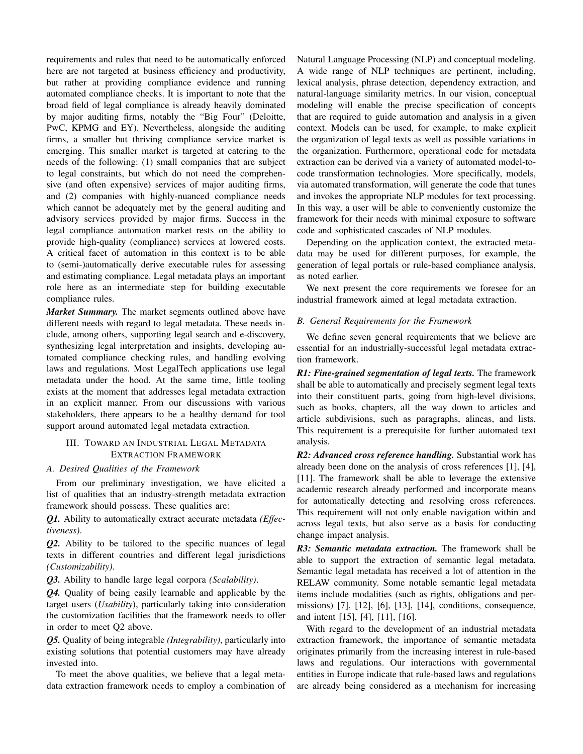requirements and rules that need to be automatically enforced here are not targeted at business efficiency and productivity, but rather at providing compliance evidence and running automated compliance checks. It is important to note that the broad field of legal compliance is already heavily dominated by major auditing firms, notably the "Big Four" (Deloitte, PwC, KPMG and EY). Nevertheless, alongside the auditing firms, a smaller but thriving compliance service market is emerging. This smaller market is targeted at catering to the needs of the following: (1) small companies that are subject to legal constraints, but which do not need the comprehensive (and often expensive) services of major auditing firms, and (2) companies with highly-nuanced compliance needs which cannot be adequately met by the general auditing and advisory services provided by major firms. Success in the legal compliance automation market rests on the ability to provide high-quality (compliance) services at lowered costs. A critical facet of automation in this context is to be able to (semi-)automatically derive executable rules for assessing and estimating compliance. Legal metadata plays an important role here as an intermediate step for building executable compliance rules.

*Market Summary.* The market segments outlined above have different needs with regard to legal metadata. These needs include, among others, supporting legal search and e-discovery, synthesizing legal interpretation and insights, developing automated compliance checking rules, and handling evolving laws and regulations. Most LegalTech applications use legal metadata under the hood. At the same time, little tooling exists at the moment that addresses legal metadata extraction in an explicit manner. From our discussions with various stakeholders, there appears to be a healthy demand for tool support around automated legal metadata extraction.

# III. TOWARD AN INDUSTRIAL LEGAL METADATA EXTRACTION FRAMEWORK

## *A. Desired Qualities of the Framework*

From our preliminary investigation, we have elicited a list of qualities that an industry-strength metadata extraction framework should possess. These qualities are:

*Q1.* Ability to automatically extract accurate metadata *(Effectiveness)*.

*Q2.* Ability to be tailored to the specific nuances of legal texts in different countries and different legal jurisdictions *(Customizability)*.

*Q3.* Ability to handle large legal corpora *(Scalability)*.

*Q4.* Quality of being easily learnable and applicable by the target users (*Usability*), particularly taking into consideration the customization facilities that the framework needs to offer in order to meet Q2 above.

*Q5.* Quality of being integrable *(Integrability)*, particularly into existing solutions that potential customers may have already invested into.

To meet the above qualities, we believe that a legal metadata extraction framework needs to employ a combination of Natural Language Processing (NLP) and conceptual modeling. A wide range of NLP techniques are pertinent, including, lexical analysis, phrase detection, dependency extraction, and natural-language similarity metrics. In our vision, conceptual modeling will enable the precise specification of concepts that are required to guide automation and analysis in a given context. Models can be used, for example, to make explicit the organization of legal texts as well as possible variations in the organization. Furthermore, operational code for metadata extraction can be derived via a variety of automated model-tocode transformation technologies. More specifically, models, via automated transformation, will generate the code that tunes and invokes the appropriate NLP modules for text processing. In this way, a user will be able to conveniently customize the framework for their needs with minimal exposure to software code and sophisticated cascades of NLP modules.

Depending on the application context, the extracted metadata may be used for different purposes, for example, the generation of legal portals or rule-based compliance analysis, as noted earlier.

We next present the core requirements we foresee for an industrial framework aimed at legal metadata extraction.

## *B. General Requirements for the Framework*

We define seven general requirements that we believe are essential for an industrially-successful legal metadata extraction framework.

*R1: Fine-grained segmentation of legal texts.* The framework shall be able to automatically and precisely segment legal texts into their constituent parts, going from high-level divisions, such as books, chapters, all the way down to articles and article subdivisions, such as paragraphs, alineas, and lists. This requirement is a prerequisite for further automated text analysis.

*R2: Advanced cross reference handling.* Substantial work has already been done on the analysis of cross references [1], [4], [11]. The framework shall be able to leverage the extensive academic research already performed and incorporate means for automatically detecting and resolving cross references. This requirement will not only enable navigation within and across legal texts, but also serve as a basis for conducting change impact analysis.

*R3: Semantic metadata extraction.* The framework shall be able to support the extraction of semantic legal metadata. Semantic legal metadata has received a lot of attention in the RELAW community. Some notable semantic legal metadata items include modalities (such as rights, obligations and permissions) [7], [12], [6], [13], [14], conditions, consequence, and intent [15], [4], [11], [16].

With regard to the development of an industrial metadata extraction framework, the importance of semantic metadata originates primarily from the increasing interest in rule-based laws and regulations. Our interactions with governmental entities in Europe indicate that rule-based laws and regulations are already being considered as a mechanism for increasing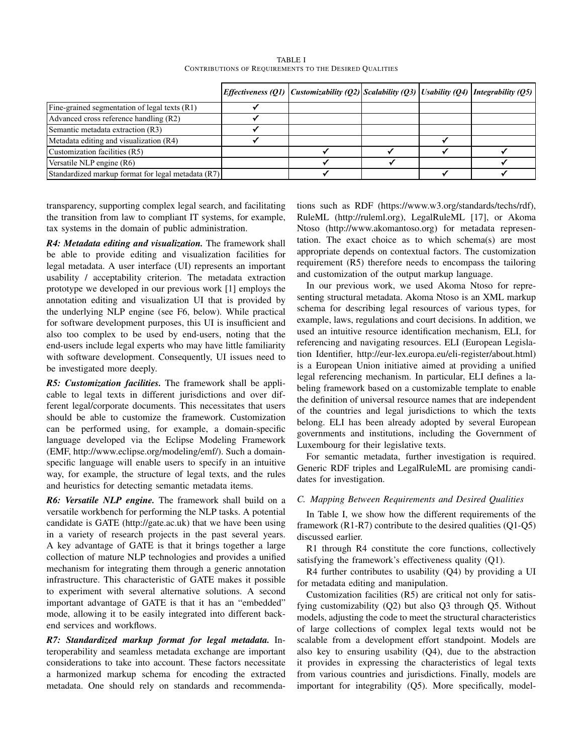TABLE I CONTRIBUTIONS OF REQUIREMENTS TO THE DESIRED QUALITIES

|                                                    | <i>Effectiveness (O1)</i> Customizability (O2) Scalability (O3) Usability (O4) Integrability (O5) |  |  |
|----------------------------------------------------|---------------------------------------------------------------------------------------------------|--|--|
| Fine-grained segmentation of legal texts (R1)      |                                                                                                   |  |  |
| Advanced cross reference handling (R2)             |                                                                                                   |  |  |
| Semantic metadata extraction (R3)                  |                                                                                                   |  |  |
| Metadata editing and visualization (R4)            |                                                                                                   |  |  |
| Customization facilities (R5)                      |                                                                                                   |  |  |
| Versatile NLP engine (R6)                          |                                                                                                   |  |  |
| Standardized markup format for legal metadata (R7) |                                                                                                   |  |  |

transparency, supporting complex legal search, and facilitating the transition from law to compliant IT systems, for example, tax systems in the domain of public administration.

*R4: Metadata editing and visualization.* The framework shall be able to provide editing and visualization facilities for legal metadata. A user interface (UI) represents an important usability / acceptability criterion. The metadata extraction prototype we developed in our previous work [1] employs the annotation editing and visualization UI that is provided by the underlying NLP engine (see F6, below). While practical for software development purposes, this UI is insufficient and also too complex to be used by end-users, noting that the end-users include legal experts who may have little familiarity with software development. Consequently, UI issues need to be investigated more deeply.

*R5: Customization facilities.* The framework shall be applicable to legal texts in different jurisdictions and over different legal/corporate documents. This necessitates that users should be able to customize the framework. Customization can be performed using, for example, a domain-specific language developed via the Eclipse Modeling Framework (EMF, http://www.eclipse.org/modeling/emf/). Such a domainspecific language will enable users to specify in an intuitive way, for example, the structure of legal texts, and the rules and heuristics for detecting semantic metadata items.

*R6: Versatile NLP engine.* The framework shall build on a versatile workbench for performing the NLP tasks. A potential candidate is GATE (http://gate.ac.uk) that we have been using in a variety of research projects in the past several years. A key advantage of GATE is that it brings together a large collection of mature NLP technologies and provides a unified mechanism for integrating them through a generic annotation infrastructure. This characteristic of GATE makes it possible to experiment with several alternative solutions. A second important advantage of GATE is that it has an "embedded" mode, allowing it to be easily integrated into different backend services and workflows.

*R7: Standardized markup format for legal metadata.* Interoperability and seamless metadata exchange are important considerations to take into account. These factors necessitate a harmonized markup schema for encoding the extracted metadata. One should rely on standards and recommendations such as RDF (https://www.w3.org/standards/techs/rdf), RuleML (http://ruleml.org), LegalRuleML [17], or Akoma Ntoso (http://www.akomantoso.org) for metadata representation. The exact choice as to which schema(s) are most appropriate depends on contextual factors. The customization requirement (R5) therefore needs to encompass the tailoring and customization of the output markup language.

In our previous work, we used Akoma Ntoso for representing structural metadata. Akoma Ntoso is an XML markup schema for describing legal resources of various types, for example, laws, regulations and court decisions. In addition, we used an intuitive resource identification mechanism, ELI, for referencing and navigating resources. ELI (European Legislation Identifier, http://eur-lex.europa.eu/eli-register/about.html) is a European Union initiative aimed at providing a unified legal referencing mechanism. In particular, ELI defines a labeling framework based on a customizable template to enable the definition of universal resource names that are independent of the countries and legal jurisdictions to which the texts belong. ELI has been already adopted by several European governments and institutions, including the Government of Luxembourg for their legislative texts.

For semantic metadata, further investigation is required. Generic RDF triples and LegalRuleML are promising candidates for investigation.

# *C. Mapping Between Requirements and Desired Qualities*

In Table I, we show how the different requirements of the framework (R1-R7) contribute to the desired qualities (Q1-Q5) discussed earlier.

R1 through R4 constitute the core functions, collectively satisfying the framework's effectiveness quality (Q1).

R4 further contributes to usability (Q4) by providing a UI for metadata editing and manipulation.

Customization facilities (R5) are critical not only for satisfying customizability (Q2) but also Q3 through Q5. Without models, adjusting the code to meet the structural characteristics of large collections of complex legal texts would not be scalable from a development effort standpoint. Models are also key to ensuring usability (Q4), due to the abstraction it provides in expressing the characteristics of legal texts from various countries and jurisdictions. Finally, models are important for integrability (Q5). More specifically, model